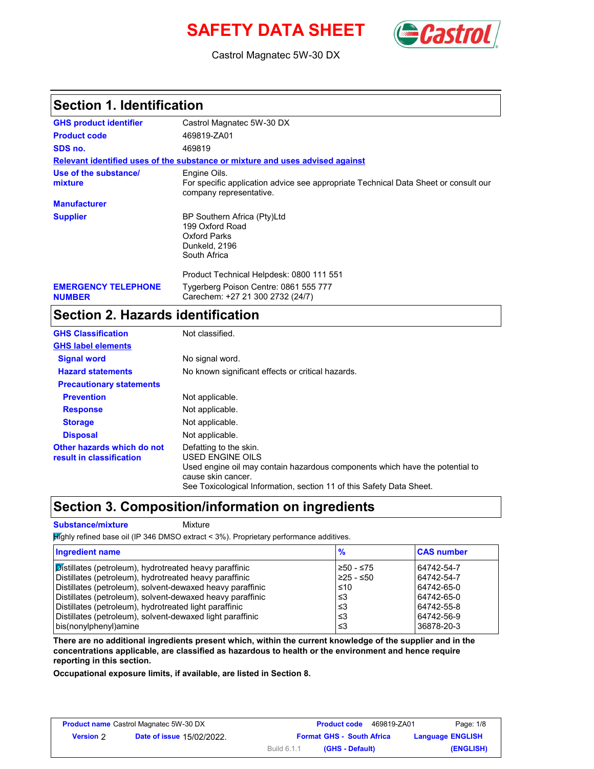# SAFETY DATA SHEET **SAFETY**



Castrol Magnatec 5W-30 DX

### **Section 1. Identification**

| <b>GHS product identifier</b>               | Castrol Magnatec 5W-30 DX                                                                                                      |
|---------------------------------------------|--------------------------------------------------------------------------------------------------------------------------------|
| <b>Product code</b>                         | 469819-ZA01                                                                                                                    |
| SDS no.                                     | 469819                                                                                                                         |
|                                             | Relevant identified uses of the substance or mixture and uses advised against                                                  |
| Use of the substance/<br>mixture            | Engine Oils.<br>For specific application advice see appropriate Technical Data Sheet or consult our<br>company representative. |
| <b>Manufacturer</b>                         |                                                                                                                                |
| <b>Supplier</b>                             | BP Southern Africa (Pty)Ltd<br>199 Oxford Road<br>Oxford Parks<br>Dunkeld, 2196<br>South Africa                                |
|                                             | Product Technical Helpdesk: 0800 111 551                                                                                       |
| <b>EMERGENCY TELEPHONE</b><br><b>NUMBER</b> | Tygerberg Poison Centre: 0861 555 777<br>Carechem: +27 21 300 2732 (24/7)                                                      |

### **Section 2. Hazards identification**

| <b>GHS Classification</b>                              | Not classified.                                                                                                                                                                                                          |
|--------------------------------------------------------|--------------------------------------------------------------------------------------------------------------------------------------------------------------------------------------------------------------------------|
| <b>GHS label elements</b>                              |                                                                                                                                                                                                                          |
| <b>Signal word</b>                                     | No signal word.                                                                                                                                                                                                          |
| <b>Hazard statements</b>                               | No known significant effects or critical hazards.                                                                                                                                                                        |
| <b>Precautionary statements</b>                        |                                                                                                                                                                                                                          |
| <b>Prevention</b>                                      | Not applicable.                                                                                                                                                                                                          |
| <b>Response</b>                                        | Not applicable.                                                                                                                                                                                                          |
| <b>Storage</b>                                         | Not applicable.                                                                                                                                                                                                          |
| <b>Disposal</b>                                        | Not applicable.                                                                                                                                                                                                          |
| Other hazards which do not<br>result in classification | Defatting to the skin.<br>USED ENGINE OILS<br>Used engine oil may contain hazardous components which have the potential to<br>cause skin cancer.<br>See Toxicological Information, section 11 of this Safety Data Sheet. |

### **Section 3. Composition/information on ingredients**

**Substance/mixture Mixture** 

 $H$ ighly refined base oil (IP 346 DMSO extract < 3%). Proprietary performance additives.

| Ingredient name                                           | ℅           | <b>CAS number</b> |
|-----------------------------------------------------------|-------------|-------------------|
| Distillates (petroleum), hydrotreated heavy paraffinic    | ≥50 - ≤75   | 64742-54-7        |
| Distillates (petroleum), hydrotreated heavy paraffinic    | $≥25 - ≤50$ | 64742-54-7        |
| Distillates (petroleum), solvent-dewaxed heavy paraffinic | ≤10         | 64742-65-0        |
| Distillates (petroleum), solvent-dewaxed heavy paraffinic | ≤3          | 64742-65-0        |
| Distillates (petroleum), hydrotreated light paraffinic    | ≤3          | 64742-55-8        |
| Distillates (petroleum), solvent-dewaxed light paraffinic | ≤3          | 64742-56-9        |
| bis(nonylphenyl)amine                                     | ו≥ ≤        | 36878-20-3        |

**There are no additional ingredients present which, within the current knowledge of the supplier and in the concentrations applicable, are classified as hazardous to health or the environment and hence require reporting in this section.**

**Occupational exposure limits, if available, are listed in Section 8.**

| <b>Product name Castrol Magnatec 5W-30 DX</b> |                                  | <b>Product code</b>              | Page: 1/8<br>469819-ZA01 |
|-----------------------------------------------|----------------------------------|----------------------------------|--------------------------|
| <b>Version</b> 2                              | <b>Date of issue 15/02/2022.</b> | <b>Format GHS - South Africa</b> | <b>Language ENGLISH</b>  |
|                                               |                                  | Build 6.1.1<br>(GHS - Default)   | (ENGLISH)                |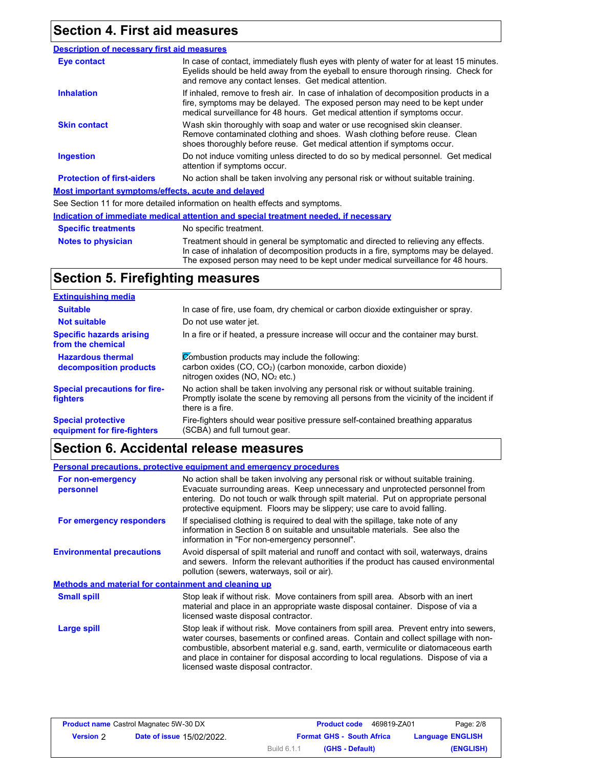## **Section 4. First aid measures**

| <b>Description of necessary first aid measures</b> |                                                                                                                                                                                                                                                     |
|----------------------------------------------------|-----------------------------------------------------------------------------------------------------------------------------------------------------------------------------------------------------------------------------------------------------|
| Eye contact                                        | In case of contact, immediately flush eyes with plenty of water for at least 15 minutes.<br>Eyelids should be held away from the eyeball to ensure thorough rinsing. Check for<br>and remove any contact lenses. Get medical attention.             |
| <b>Inhalation</b>                                  | If inhaled, remove to fresh air. In case of inhalation of decomposition products in a<br>fire, symptoms may be delayed. The exposed person may need to be kept under<br>medical surveillance for 48 hours. Get medical attention if symptoms occur. |
| <b>Skin contact</b>                                | Wash skin thoroughly with soap and water or use recognised skin cleanser.<br>Remove contaminated clothing and shoes. Wash clothing before reuse. Clean<br>shoes thoroughly before reuse. Get medical attention if symptoms occur.                   |
| <b>Ingestion</b>                                   | Do not induce vomiting unless directed to do so by medical personnel. Get medical<br>attention if symptoms occur.                                                                                                                                   |
| <b>Protection of first-aiders</b>                  | No action shall be taken involving any personal risk or without suitable training.                                                                                                                                                                  |
| Most important symptoms/effects, acute and delayed |                                                                                                                                                                                                                                                     |
|                                                    | See Section 11 for more detailed information on health effects and symptoms.                                                                                                                                                                        |
|                                                    | Indication of immediate medical attention and special treatment needed, if necessary                                                                                                                                                                |
| <b>Specific treatments</b>                         | No specific treatment.                                                                                                                                                                                                                              |
| <b>Notes to physician</b>                          | Treatment should in general be symptomatic and directed to relieving any effects.                                                                                                                                                                   |

In case of inhalation of decomposition products in a fire, symptoms may be delayed. The exposed person may need to be kept under medical surveillance for 48 hours.

## **Section 5. Firefighting measures**

| <b>Extinguishing media</b>                               |                                                                                                                                                                                                   |
|----------------------------------------------------------|---------------------------------------------------------------------------------------------------------------------------------------------------------------------------------------------------|
| <b>Suitable</b>                                          | In case of fire, use foam, dry chemical or carbon dioxide extinguisher or spray.                                                                                                                  |
| <b>Not suitable</b>                                      | Do not use water jet.                                                                                                                                                                             |
| <b>Specific hazards arising</b><br>from the chemical     | In a fire or if heated, a pressure increase will occur and the container may burst.                                                                                                               |
| <b>Hazardous thermal</b><br>decomposition products       | Combustion products may include the following:<br>carbon oxides $(CO, CO2)$ (carbon monoxide, carbon dioxide)<br>nitrogen oxides ( $NO$ , $NO2$ etc.)                                             |
| <b>Special precautions for fire-</b><br><b>fighters</b>  | No action shall be taken involving any personal risk or without suitable training.<br>Promptly isolate the scene by removing all persons from the vicinity of the incident if<br>there is a fire. |
| <b>Special protective</b><br>equipment for fire-fighters | Fire-fighters should wear positive pressure self-contained breathing apparatus<br>(SCBA) and full turnout gear.                                                                                   |

# **Section 6. Accidental release measures**

|                                                             | <b>Personal precautions, protective equipment and emergency procedures</b>                                                                                                                                                                                                                                                                                                                         |
|-------------------------------------------------------------|----------------------------------------------------------------------------------------------------------------------------------------------------------------------------------------------------------------------------------------------------------------------------------------------------------------------------------------------------------------------------------------------------|
| For non-emergency<br>personnel                              | No action shall be taken involving any personal risk or without suitable training.<br>Evacuate surrounding areas. Keep unnecessary and unprotected personnel from<br>entering. Do not touch or walk through spilt material. Put on appropriate personal<br>protective equipment. Floors may be slippery; use care to avoid falling.                                                                |
| For emergency responders                                    | If specialised clothing is required to deal with the spillage, take note of any<br>information in Section 8 on suitable and unsuitable materials. See also the<br>information in "For non-emergency personnel".                                                                                                                                                                                    |
| <b>Environmental precautions</b>                            | Avoid dispersal of spilt material and runoff and contact with soil, waterways, drains<br>and sewers. Inform the relevant authorities if the product has caused environmental<br>pollution (sewers, waterways, soil or air).                                                                                                                                                                        |
| <b>Methods and material for containment and cleaning up</b> |                                                                                                                                                                                                                                                                                                                                                                                                    |
| <b>Small spill</b>                                          | Stop leak if without risk. Move containers from spill area. Absorb with an inert<br>material and place in an appropriate waste disposal container. Dispose of via a<br>licensed waste disposal contractor.                                                                                                                                                                                         |
| Large spill                                                 | Stop leak if without risk. Move containers from spill area. Prevent entry into sewers,<br>water courses, basements or confined areas. Contain and collect spillage with non-<br>combustible, absorbent material e.g. sand, earth, vermiculite or diatomaceous earth<br>and place in container for disposal according to local regulations. Dispose of via a<br>licensed waste disposal contractor. |

| <b>Product name Castrol Magnatec 5W-30 DX</b> |                                  |             | <b>Product code</b><br>469819-ZA01 | Page: 2/8               |
|-----------------------------------------------|----------------------------------|-------------|------------------------------------|-------------------------|
| <b>Version 2</b>                              | <b>Date of issue 15/02/2022.</b> |             | <b>Format GHS - South Africa</b>   | <b>Language ENGLISH</b> |
|                                               |                                  | Build 6.1.1 | (GHS - Default)                    | (ENGLISH)               |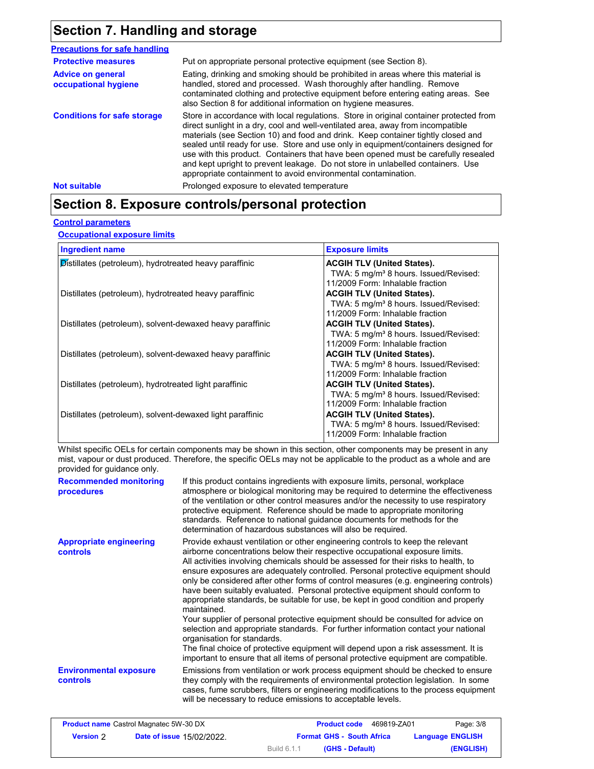## **Section 7. Handling and storage**

| <b>Precautions for safe handling</b>             |                                                                                                                                                                                                                                                                                                                                                                                                                                                                                                                                                                                                |
|--------------------------------------------------|------------------------------------------------------------------------------------------------------------------------------------------------------------------------------------------------------------------------------------------------------------------------------------------------------------------------------------------------------------------------------------------------------------------------------------------------------------------------------------------------------------------------------------------------------------------------------------------------|
| <b>Protective measures</b>                       | Put on appropriate personal protective equipment (see Section 8).                                                                                                                                                                                                                                                                                                                                                                                                                                                                                                                              |
| <b>Advice on general</b><br>occupational hygiene | Eating, drinking and smoking should be prohibited in areas where this material is<br>handled, stored and processed. Wash thoroughly after handling. Remove<br>contaminated clothing and protective equipment before entering eating areas. See<br>also Section 8 for additional information on hygiene measures.                                                                                                                                                                                                                                                                               |
| <b>Conditions for safe storage</b>               | Store in accordance with local regulations. Store in original container protected from<br>direct sunlight in a dry, cool and well-ventilated area, away from incompatible<br>materials (see Section 10) and food and drink. Keep container tightly closed and<br>sealed until ready for use. Store and use only in equipment/containers designed for<br>use with this product. Containers that have been opened must be carefully resealed<br>and kept upright to prevent leakage. Do not store in unlabelled containers. Use<br>appropriate containment to avoid environmental contamination. |
| <b>Not suitable</b>                              | Prolonged exposure to elevated temperature                                                                                                                                                                                                                                                                                                                                                                                                                                                                                                                                                     |

### **Section 8. Exposure controls/personal protection**

#### **Control parameters**

**Occupational exposure limits**

| <b>Ingredient name</b>                                    | <b>Exposure limits</b>                            |
|-----------------------------------------------------------|---------------------------------------------------|
| Distillates (petroleum), hydrotreated heavy paraffinic    | <b>ACGIH TLV (United States).</b>                 |
|                                                           | TWA: 5 mg/m <sup>3</sup> 8 hours. Issued/Revised: |
|                                                           | 11/2009 Form: Inhalable fraction                  |
| Distillates (petroleum), hydrotreated heavy paraffinic    | <b>ACGIH TLV (United States).</b>                 |
|                                                           | TWA: 5 mg/m <sup>3</sup> 8 hours. Issued/Revised: |
|                                                           | 11/2009 Form: Inhalable fraction                  |
| Distillates (petroleum), solvent-dewaxed heavy paraffinic | <b>ACGIH TLV (United States).</b>                 |
|                                                           | TWA: 5 mg/m <sup>3</sup> 8 hours. Issued/Revised: |
|                                                           | 11/2009 Form: Inhalable fraction                  |
| Distillates (petroleum), solvent-dewaxed heavy paraffinic | <b>ACGIH TLV (United States).</b>                 |
|                                                           | TWA: 5 mg/m <sup>3</sup> 8 hours. Issued/Revised: |
|                                                           | 11/2009 Form: Inhalable fraction                  |
| Distillates (petroleum), hydrotreated light paraffinic    | <b>ACGIH TLV (United States).</b>                 |
|                                                           | TWA: 5 mg/m <sup>3</sup> 8 hours. Issued/Revised: |
|                                                           | 11/2009 Form: Inhalable fraction                  |
| Distillates (petroleum), solvent-dewaxed light paraffinic | <b>ACGIH TLV (United States).</b>                 |
|                                                           | TWA: 5 mg/m <sup>3</sup> 8 hours. Issued/Revised: |
|                                                           | 11/2009 Form: Inhalable fraction                  |
|                                                           |                                                   |

Whilst specific OELs for certain components may be shown in this section, other components may be present in any mist, vapour or dust produced. Therefore, the specific OELs may not be applicable to the product as a whole and are provided for guidance only.

| <b>Recommended monitoring</b><br>procedures       | If this product contains ingredients with exposure limits, personal, workplace<br>atmosphere or biological monitoring may be required to determine the effectiveness<br>of the ventilation or other control measures and/or the necessity to use respiratory<br>protective equipment. Reference should be made to appropriate monitoring<br>standards. Reference to national guidance documents for methods for the<br>determination of hazardous substances will also be required.                                                                                                                                                                                                                                                                                                                                                                                                                                                                                                                           |
|---------------------------------------------------|---------------------------------------------------------------------------------------------------------------------------------------------------------------------------------------------------------------------------------------------------------------------------------------------------------------------------------------------------------------------------------------------------------------------------------------------------------------------------------------------------------------------------------------------------------------------------------------------------------------------------------------------------------------------------------------------------------------------------------------------------------------------------------------------------------------------------------------------------------------------------------------------------------------------------------------------------------------------------------------------------------------|
| <b>Appropriate engineering</b><br><b>controls</b> | Provide exhaust ventilation or other engineering controls to keep the relevant<br>airborne concentrations below their respective occupational exposure limits.<br>All activities involving chemicals should be assessed for their risks to health, to<br>ensure exposures are adequately controlled. Personal protective equipment should<br>only be considered after other forms of control measures (e.g. engineering controls)<br>have been suitably evaluated. Personal protective equipment should conform to<br>appropriate standards, be suitable for use, be kept in good condition and properly<br>maintained.<br>Your supplier of personal protective equipment should be consulted for advice on<br>selection and appropriate standards. For further information contact your national<br>organisation for standards.<br>The final choice of protective equipment will depend upon a risk assessment. It is<br>important to ensure that all items of personal protective equipment are compatible. |
| <b>Environmental exposure</b><br><b>controls</b>  | Emissions from ventilation or work process equipment should be checked to ensure<br>they comply with the requirements of environmental protection legislation. In some<br>cases, fume scrubbers, filters or engineering modifications to the process equipment<br>will be necessary to reduce emissions to acceptable levels.                                                                                                                                                                                                                                                                                                                                                                                                                                                                                                                                                                                                                                                                                 |

|                  | <b>Product name Castrol Magnatec 5W-30 DX</b> | <b>Product code</b><br>469819-ZA01 | Page: 3/8               |
|------------------|-----------------------------------------------|------------------------------------|-------------------------|
| <b>Version</b> 2 | <b>Date of issue 15/02/2022.</b>              | <b>Format GHS - South Africa</b>   | <b>Language ENGLISH</b> |
|                  |                                               | Build 6.1.1<br>(GHS - Default)     | (ENGLISH)               |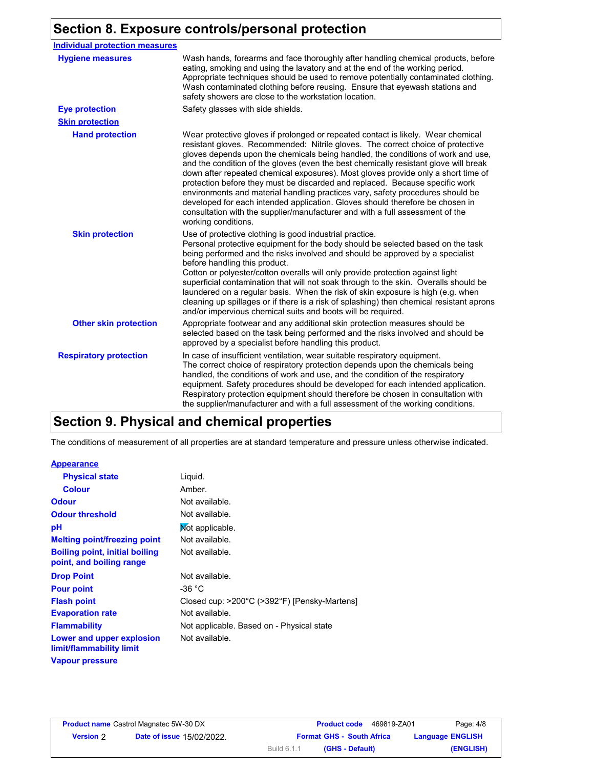## **Section 8. Exposure controls/personal protection**

| <b>Individual protection measures</b> |                                                                                                                                                                                                                                                                                                                                                                                                                                                                                                                                                                                                                                                                                                                                                                                                 |
|---------------------------------------|-------------------------------------------------------------------------------------------------------------------------------------------------------------------------------------------------------------------------------------------------------------------------------------------------------------------------------------------------------------------------------------------------------------------------------------------------------------------------------------------------------------------------------------------------------------------------------------------------------------------------------------------------------------------------------------------------------------------------------------------------------------------------------------------------|
| <b>Hygiene measures</b>               | Wash hands, forearms and face thoroughly after handling chemical products, before<br>eating, smoking and using the lavatory and at the end of the working period.<br>Appropriate techniques should be used to remove potentially contaminated clothing.<br>Wash contaminated clothing before reusing. Ensure that eyewash stations and<br>safety showers are close to the workstation location.                                                                                                                                                                                                                                                                                                                                                                                                 |
| <b>Eye protection</b>                 | Safety glasses with side shields.                                                                                                                                                                                                                                                                                                                                                                                                                                                                                                                                                                                                                                                                                                                                                               |
| <b>Skin protection</b>                |                                                                                                                                                                                                                                                                                                                                                                                                                                                                                                                                                                                                                                                                                                                                                                                                 |
| <b>Hand protection</b>                | Wear protective gloves if prolonged or repeated contact is likely. Wear chemical<br>resistant gloves. Recommended: Nitrile gloves. The correct choice of protective<br>gloves depends upon the chemicals being handled, the conditions of work and use,<br>and the condition of the gloves (even the best chemically resistant glove will break<br>down after repeated chemical exposures). Most gloves provide only a short time of<br>protection before they must be discarded and replaced. Because specific work<br>environments and material handling practices vary, safety procedures should be<br>developed for each intended application. Gloves should therefore be chosen in<br>consultation with the supplier/manufacturer and with a full assessment of the<br>working conditions. |
| <b>Skin protection</b>                | Use of protective clothing is good industrial practice.<br>Personal protective equipment for the body should be selected based on the task<br>being performed and the risks involved and should be approved by a specialist<br>before handling this product.<br>Cotton or polyester/cotton overalls will only provide protection against light<br>superficial contamination that will not soak through to the skin. Overalls should be<br>laundered on a regular basis. When the risk of skin exposure is high (e.g. when<br>cleaning up spillages or if there is a risk of splashing) then chemical resistant aprons<br>and/or impervious chemical suits and boots will be required.                                                                                                           |
| <b>Other skin protection</b>          | Appropriate footwear and any additional skin protection measures should be<br>selected based on the task being performed and the risks involved and should be<br>approved by a specialist before handling this product.                                                                                                                                                                                                                                                                                                                                                                                                                                                                                                                                                                         |
| <b>Respiratory protection</b>         | In case of insufficient ventilation, wear suitable respiratory equipment.<br>The correct choice of respiratory protection depends upon the chemicals being<br>handled, the conditions of work and use, and the condition of the respiratory<br>equipment. Safety procedures should be developed for each intended application.<br>Respiratory protection equipment should therefore be chosen in consultation with<br>the supplier/manufacturer and with a full assessment of the working conditions.                                                                                                                                                                                                                                                                                           |

## **Section 9. Physical and chemical properties**

The conditions of measurement of all properties are at standard temperature and pressure unless otherwise indicated.

#### **Appearance**

| <b>Physical state</b>                                             | Liquid.                                      |
|-------------------------------------------------------------------|----------------------------------------------|
| <b>Colour</b>                                                     | Amber.                                       |
| <b>Odour</b>                                                      | Not available.                               |
| <b>Odour threshold</b>                                            | Not available.                               |
| рH                                                                | Not applicable.                              |
| <b>Melting point/freezing point</b>                               | Not available.                               |
| <b>Boiling point, initial boiling</b><br>point, and boiling range | Not available.                               |
| <b>Drop Point</b>                                                 | Not available.                               |
| <b>Pour point</b>                                                 | -36 °C                                       |
| <b>Flash point</b>                                                | Closed cup: >200°C (>392°F) [Pensky-Martens] |
| <b>Evaporation rate</b>                                           | Not available.                               |
| <b>Flammability</b>                                               | Not applicable. Based on - Physical state    |
| Lower and upper explosion<br>limit/flammability limit             | Not available.                               |
| <b>Vapour pressure</b>                                            |                                              |

|                  | <b>Product name</b> Castrol Magnatec 5W-30 DX | <b>Product code</b><br>469819-ZA01 | Page: 4/8               |
|------------------|-----------------------------------------------|------------------------------------|-------------------------|
| <b>Version</b> 2 | <b>Date of issue 15/02/2022.</b>              | <b>Format GHS - South Africa</b>   | <b>Language ENGLISH</b> |
|                  |                                               | Build 6.1.1<br>(GHS - Default)     | (ENGLISH)               |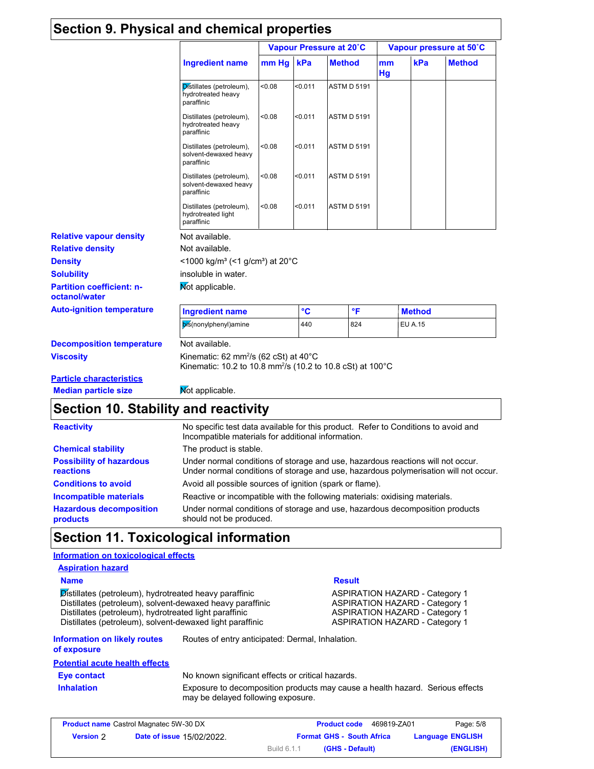|                                                   |                                                                                                                             | Vapour Pressure at 20°C |         |                    |          | Vapour pressure at 50°C |               |
|---------------------------------------------------|-----------------------------------------------------------------------------------------------------------------------------|-------------------------|---------|--------------------|----------|-------------------------|---------------|
|                                                   | <b>Ingredient name</b>                                                                                                      | mm Hg                   | kPa     | <b>Method</b>      | mm<br>Hg | kPa                     | <b>Method</b> |
|                                                   | Distillates (petroleum),<br>hydrotreated heavy<br>paraffinic                                                                | 0.08                    | < 0.011 | <b>ASTM D 5191</b> |          |                         |               |
|                                                   | Distillates (petroleum),<br>hydrotreated heavy<br>paraffinic                                                                | < 0.08                  | < 0.011 | <b>ASTM D 5191</b> |          |                         |               |
|                                                   | Distillates (petroleum),<br>solvent-dewaxed heavy<br>paraffinic                                                             | <0.08                   | < 0.011 | <b>ASTM D 5191</b> |          |                         |               |
|                                                   | Distillates (petroleum),<br>solvent-dewaxed heavy<br>paraffinic                                                             | <0.08                   | < 0.011 | <b>ASTM D 5191</b> |          |                         |               |
|                                                   | Distillates (petroleum),<br>hydrotreated light<br>paraffinic                                                                | <0.08                   | < 0.011 | <b>ASTM D 5191</b> |          |                         |               |
| <b>Relative vapour density</b>                    | Not available.                                                                                                              |                         |         |                    |          |                         |               |
| <b>Relative density</b>                           | Not available.                                                                                                              |                         |         |                    |          |                         |               |
| <b>Density</b>                                    | <1000 kg/m <sup>3</sup> (<1 g/cm <sup>3</sup> ) at 20 <sup>°</sup> C                                                        |                         |         |                    |          |                         |               |
| <b>Solubility</b>                                 | insoluble in water.                                                                                                         |                         |         |                    |          |                         |               |
| <b>Partition coefficient: n-</b><br>octanol/water | Mot applicable.                                                                                                             |                         |         |                    |          |                         |               |
| <b>Auto-ignition temperature</b>                  | <b>Ingredient name</b>                                                                                                      |                         | °C      | °F                 |          | <b>Method</b>           |               |
|                                                   | bis(nonylphenyl)amine                                                                                                       |                         | 440     | 824                |          | <b>EU A.15</b>          |               |
| <b>Decomposition temperature</b>                  | Not available.                                                                                                              |                         |         |                    |          |                         |               |
| <b>Viscosity</b>                                  | Kinematic: 62 mm <sup>2</sup> /s (62 cSt) at 40°C<br>Kinematic: 10.2 to 10.8 mm <sup>2</sup> /s (10.2 to 10.8 cSt) at 100°C |                         |         |                    |          |                         |               |
| <b>Particle characteristics</b>                   |                                                                                                                             |                         |         |                    |          |                         |               |
| <b>Median particle size</b>                       | Mot applicable.                                                                                                             |                         |         |                    |          |                         |               |

## **Section 10. Stability and reactivity**

|                                                     | Section TV. Stability and reactivity                                                                                                                                    |  |  |
|-----------------------------------------------------|-------------------------------------------------------------------------------------------------------------------------------------------------------------------------|--|--|
| <b>Reactivity</b>                                   | No specific test data available for this product. Refer to Conditions to avoid and<br>Incompatible materials for additional information.                                |  |  |
| <b>Chemical stability</b>                           | The product is stable.                                                                                                                                                  |  |  |
| <b>Possibility of hazardous</b><br><b>reactions</b> | Under normal conditions of storage and use, hazardous reactions will not occur.<br>Under normal conditions of storage and use, hazardous polymerisation will not occur. |  |  |
| <b>Conditions to avoid</b>                          | Avoid all possible sources of ignition (spark or flame).                                                                                                                |  |  |
| Incompatible materials                              | Reactive or incompatible with the following materials: oxidising materials.                                                                                             |  |  |
| <b>Hazardous decomposition</b><br>products          | Under normal conditions of storage and use, hazardous decomposition products<br>should not be produced.                                                                 |  |  |

## **Section 11. Toxicological information**

| Information on toxicological effects                                                                                                                                                                                                       |                                                   |                                                                                                                                                                  |
|--------------------------------------------------------------------------------------------------------------------------------------------------------------------------------------------------------------------------------------------|---------------------------------------------------|------------------------------------------------------------------------------------------------------------------------------------------------------------------|
| <b>Aspiration hazard</b>                                                                                                                                                                                                                   |                                                   |                                                                                                                                                                  |
| <b>Name</b>                                                                                                                                                                                                                                |                                                   | <b>Result</b>                                                                                                                                                    |
| Distillates (petroleum), hydrotreated heavy paraffinic<br>Distillates (petroleum), solvent-dewaxed heavy paraffinic<br>Distillates (petroleum), hydrotreated light paraffinic<br>Distillates (petroleum), solvent-dewaxed light paraffinic |                                                   | <b>ASPIRATION HAZARD - Category 1</b><br><b>ASPIRATION HAZARD - Category 1</b><br><b>ASPIRATION HAZARD - Category 1</b><br><b>ASPIRATION HAZARD - Category 1</b> |
| <b>Information on likely routes</b><br>of exposure                                                                                                                                                                                         | Routes of entry anticipated: Dermal, Inhalation.  |                                                                                                                                                                  |
| <b>Potential acute health effects</b>                                                                                                                                                                                                      |                                                   |                                                                                                                                                                  |
| Eye contact                                                                                                                                                                                                                                | No known significant effects or critical hazards. |                                                                                                                                                                  |
| <b>Inhalation</b>                                                                                                                                                                                                                          | may be delayed following exposure.                | Exposure to decomposition products may cause a health hazard. Serious effects                                                                                    |
|                                                                                                                                                                                                                                            |                                                   |                                                                                                                                                                  |

|                  | <b>Product name</b> Castrol Magnatec 5W-30 DX | 469819-ZA01<br><b>Product code</b> | Page: 5/8               |
|------------------|-----------------------------------------------|------------------------------------|-------------------------|
| <b>Version</b> 2 | Date of issue 15/02/2022.                     | <b>Format GHS - South Africa</b>   | <b>Language ENGLISH</b> |
|                  |                                               | Build 6.1.1<br>(GHS - Default)     | (ENGLISH)               |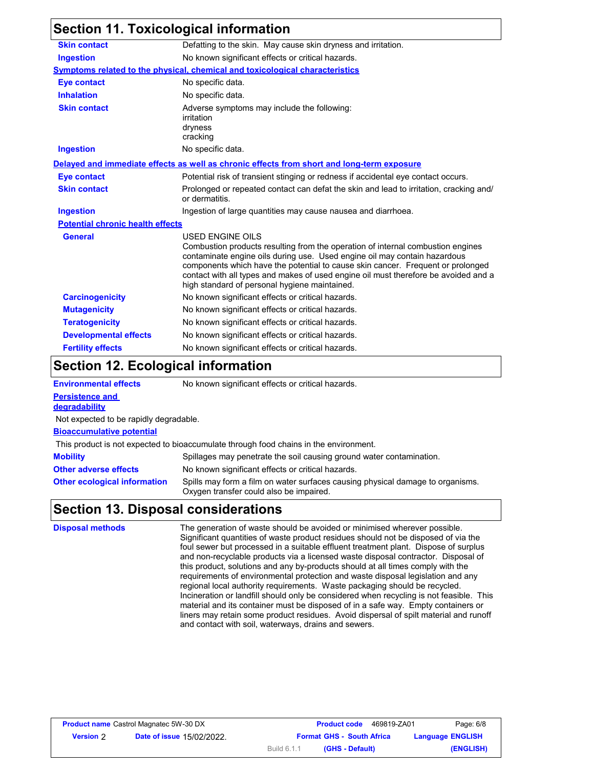|                                         | <b>Section 11. Toxicological information</b>                                                                                                                                                                                                                                                                                                                                                                |  |  |
|-----------------------------------------|-------------------------------------------------------------------------------------------------------------------------------------------------------------------------------------------------------------------------------------------------------------------------------------------------------------------------------------------------------------------------------------------------------------|--|--|
| <b>Skin contact</b>                     | Defatting to the skin. May cause skin dryness and irritation.                                                                                                                                                                                                                                                                                                                                               |  |  |
| <b>Ingestion</b>                        | No known significant effects or critical hazards.                                                                                                                                                                                                                                                                                                                                                           |  |  |
|                                         | <b>Symptoms related to the physical, chemical and toxicological characteristics</b>                                                                                                                                                                                                                                                                                                                         |  |  |
| <b>Eye contact</b>                      | No specific data.                                                                                                                                                                                                                                                                                                                                                                                           |  |  |
| <b>Inhalation</b>                       | No specific data.                                                                                                                                                                                                                                                                                                                                                                                           |  |  |
| <b>Skin contact</b>                     | Adverse symptoms may include the following:<br>irritation<br>dryness<br>cracking                                                                                                                                                                                                                                                                                                                            |  |  |
| <b>Ingestion</b>                        | No specific data.                                                                                                                                                                                                                                                                                                                                                                                           |  |  |
|                                         | Delayed and immediate effects as well as chronic effects from short and long-term exposure                                                                                                                                                                                                                                                                                                                  |  |  |
| <b>Eye contact</b>                      | Potential risk of transient stinging or redness if accidental eye contact occurs.                                                                                                                                                                                                                                                                                                                           |  |  |
| <b>Skin contact</b>                     | Prolonged or repeated contact can defat the skin and lead to irritation, cracking and/<br>or dermatitis.                                                                                                                                                                                                                                                                                                    |  |  |
| <b>Ingestion</b>                        | Ingestion of large quantities may cause nausea and diarrhoea.                                                                                                                                                                                                                                                                                                                                               |  |  |
| <b>Potential chronic health effects</b> |                                                                                                                                                                                                                                                                                                                                                                                                             |  |  |
| General                                 | USED ENGINE OILS<br>Combustion products resulting from the operation of internal combustion engines<br>contaminate engine oils during use. Used engine oil may contain hazardous<br>components which have the potential to cause skin cancer. Frequent or prolonged<br>contact with all types and makes of used engine oil must therefore be avoided and a<br>high standard of personal hygiene maintained. |  |  |
| <b>Carcinogenicity</b>                  | No known significant effects or critical hazards.                                                                                                                                                                                                                                                                                                                                                           |  |  |
| <b>Mutagenicity</b>                     | No known significant effects or critical hazards.                                                                                                                                                                                                                                                                                                                                                           |  |  |
| <b>Teratogenicity</b>                   | No known significant effects or critical hazards.                                                                                                                                                                                                                                                                                                                                                           |  |  |
| <b>Developmental effects</b>            | No known significant effects or critical hazards.                                                                                                                                                                                                                                                                                                                                                           |  |  |
| <b>Fertility effects</b>                | No known significant effects or critical hazards.                                                                                                                                                                                                                                                                                                                                                           |  |  |

## **Section 12. Ecological information**

| <b>Environmental effects</b>            | No known significant effects or critical hazards.                                                                         |
|-----------------------------------------|---------------------------------------------------------------------------------------------------------------------------|
| <b>Persistence and</b><br>degradability |                                                                                                                           |
| Not expected to be rapidly degradable.  |                                                                                                                           |
| <b>Bioaccumulative potential</b>        |                                                                                                                           |
|                                         | This product is not expected to bioaccumulate through food chains in the environment.                                     |
| <b>Mobility</b>                         | Spillages may penetrate the soil causing ground water contamination.                                                      |
| <b>Other adverse effects</b>            | No known significant effects or critical hazards.                                                                         |
| <b>Other ecological information</b>     | Spills may form a film on water surfaces causing physical damage to organisms.<br>Oxygen transfer could also be impaired. |
|                                         |                                                                                                                           |

### **Section 13. Disposal considerations**

**Disposal methods** The generation of waste should be avoided or minimised wherever possible. Significant quantities of waste product residues should not be disposed of via the foul sewer but processed in a suitable effluent treatment plant. Dispose of surplus and non-recyclable products via a licensed waste disposal contractor. Disposal of this product, solutions and any by-products should at all times comply with the requirements of environmental protection and waste disposal legislation and any regional local authority requirements. Waste packaging should be recycled. Incineration or landfill should only be considered when recycling is not feasible. This material and its container must be disposed of in a safe way. Empty containers or liners may retain some product residues. Avoid dispersal of spilt material and runoff and contact with soil, waterways, drains and sewers.

|                  | <b>Product name</b> Castrol Magnatec 5W-30 DX | 469819-ZA01<br><b>Product code</b> | Page: 6/8               |
|------------------|-----------------------------------------------|------------------------------------|-------------------------|
| <b>Version 2</b> | <b>Date of issue 15/02/2022.</b>              | <b>Format GHS - South Africa</b>   | <b>Language ENGLISH</b> |
|                  |                                               | (GHS - Default)<br>Build 6.1.1     | (ENGLISH)               |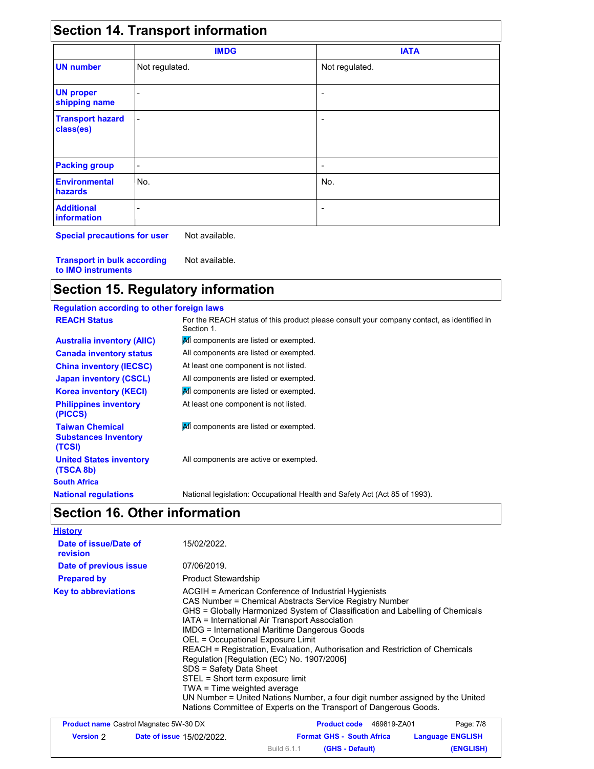| <b>Section 14. Transport information</b> |                              |                              |  |  |
|------------------------------------------|------------------------------|------------------------------|--|--|
|                                          | <b>IMDG</b>                  | <b>IATA</b>                  |  |  |
| <b>UN number</b>                         | Not regulated.               | Not regulated.               |  |  |
| <b>UN proper</b><br>shipping name        | $\qquad \qquad \blacksquare$ | $\overline{\phantom{a}}$     |  |  |
| <b>Transport hazard</b><br>class(es)     | $\overline{\phantom{0}}$     | ٠                            |  |  |
| <b>Packing group</b>                     | -                            | $\qquad \qquad \blacksquare$ |  |  |
| <b>Environmental</b><br>hazards          | No.                          | No.                          |  |  |
| <b>Additional</b><br><b>information</b>  | -                            | ۰                            |  |  |

**Special precautions for user** Not available.

**Transport in bulk according to IMO instruments** Not available.

### **Section 15. Regulatory information**

#### **Regulation according to other foreign laws** All components are active or exempted. **All components are listed or exempted.** All components are listed or exempted. At least one component is not listed. All components are listed or exempted. **All components are listed or exempted.** At least one component is not listed. **United States inventory (TSCA 8b) Philippines inventory (PICCS) China inventory (IECSC) Canada inventory status Australia inventory (AIIC) Korea inventory (KECI) Japan inventory (CSCL) REACH Status** For the REACH status of this product please consult your company contact, as identified in Section 1. **Taiwan Chemical Substances Inventory (TCSI) All** components are listed or exempted. **South Africa National regulations** National legislation: Occupational Health and Safety Act (Act 85 of 1993). **Section 16. Other information**

| <b>History</b>                    |                                                                                                                                                                                                                                                                                                                                                                                                                                                                                                                                                                                                                                                                                                                                   |
|-----------------------------------|-----------------------------------------------------------------------------------------------------------------------------------------------------------------------------------------------------------------------------------------------------------------------------------------------------------------------------------------------------------------------------------------------------------------------------------------------------------------------------------------------------------------------------------------------------------------------------------------------------------------------------------------------------------------------------------------------------------------------------------|
| Date of issue/Date of<br>revision | 15/02/2022                                                                                                                                                                                                                                                                                                                                                                                                                                                                                                                                                                                                                                                                                                                        |
| Date of previous issue            | 07/06/2019.                                                                                                                                                                                                                                                                                                                                                                                                                                                                                                                                                                                                                                                                                                                       |
| <b>Prepared by</b>                | <b>Product Stewardship</b>                                                                                                                                                                                                                                                                                                                                                                                                                                                                                                                                                                                                                                                                                                        |
| <b>Key to abbreviations</b>       | ACGIH = American Conference of Industrial Hygienists<br>CAS Number = Chemical Abstracts Service Registry Number<br>GHS = Globally Harmonized System of Classification and Labelling of Chemicals<br>IATA = International Air Transport Association<br><b>IMDG</b> = International Maritime Dangerous Goods<br>OEL = Occupational Exposure Limit<br>REACH = Registration, Evaluation, Authorisation and Restriction of Chemicals<br>Regulation [Regulation (EC) No. 1907/2006]<br>SDS = Safety Data Sheet<br>STEL = Short term exposure limit<br>TWA = Time weighted average<br>UN Number = United Nations Number, a four digit number assigned by the United<br>Nations Committee of Experts on the Transport of Dangerous Goods. |

| <b>Product name</b> Castrol Magnatec 5W-30 DX |                                  | 469819-ZA01<br><b>Product code</b> | Page: 7/8               |
|-----------------------------------------------|----------------------------------|------------------------------------|-------------------------|
| <b>Version 2</b>                              | <b>Date of issue 15/02/2022.</b> | <b>Format GHS - South Africa</b>   | <b>Language ENGLISH</b> |
|                                               |                                  | Build 6.1.1<br>(GHS - Default)     | (ENGLISH)               |